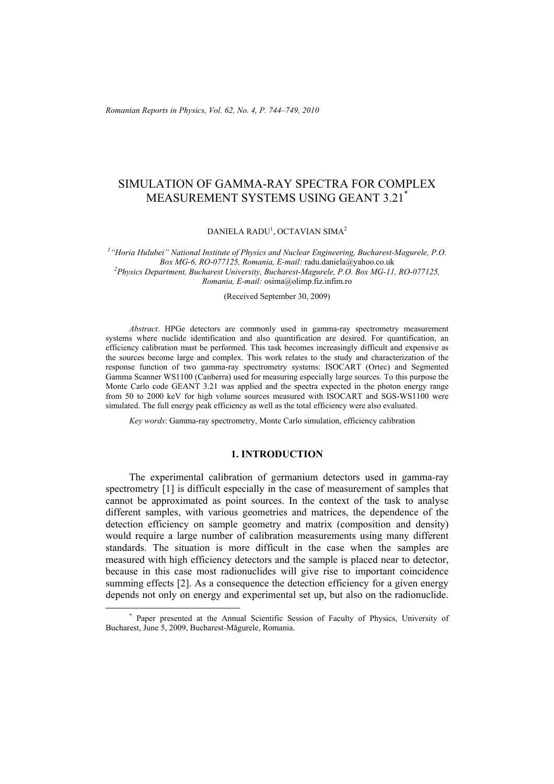*Romanian Reports in Physics, Vol. 62, No. 4, P. 744–749, 2010*

# SIMULATION OF GAMMA-RAY SPECTRA FOR COMPLEX MEASUREMENT SYSTEMS USING GEANT 3.21\*

DANIELA RADU<sup>1</sup>, OCTAVIAN SIMA<sup>2</sup>

*1 "Horia Hulubei" National Institute of Physics and Nuclear Engineering, Bucharest-Magurele, P.O. Box MG-6, RO-077125, Romania, E-mail:* radu.daniela@yahoo.co.uk *<sup>2</sup> Physics Department, Bucharest University, Bucharest-Magurele, P.O. Box MG-11, RO-077125, Romania, E-mail:* osima@olimp.fiz.infim.ro

(Received September 30, 2009)

*Abstract*. HPGe detectors are commonly used in gamma-ray spectrometry measurement systems where nuclide identification and also quantification are desired. For quantification, an efficiency calibration must be performed. This task becomes increasingly difficult and expensive as the sources become large and complex. This work relates to the study and characterization of the response function of two gamma-ray spectrometry systems: ISOCART (Ortec) and Segmented Gamma Scanner WS1100 (Canberra) used for measuring especially large sources. To this purpose the Monte Carlo code GEANT 3.21 was applied and the spectra expected in the photon energy range from 50 to 2000 keV for high volume sources measured with ISOCART and SGS-WS1100 were simulated. The full energy peak efficiency as well as the total efficiency were also evaluated.

*Key words*: Gamma-ray spectrometry, Monte Carlo simulation, efficiency calibration

# **1. INTRODUCTION**

The experimental calibration of germanium detectors used in gamma-ray spectrometry [1] is difficult especially in the case of measurement of samples that cannot be approximated as point sources. In the context of the task to analyse different samples, with various geometries and matrices, the dependence of the detection efficiency on sample geometry and matrix (composition and density) would require a large number of calibration measurements using many different standards. The situation is more difficult in the case when the samples are measured with high efficiency detectors and the sample is placed near to detector, because in this case most radionuclides will give rise to important coincidence summing effects [2]. As a consequence the detection efficiency for a given energy depends not only on energy and experimental set up, but also on the radionuclide.

 <sup>\*</sup> Paper presented at the Annual Scientific Session of Faculty of Physics, University of Bucharest, June 5, 2009, Bucharest-Măgurele, Romania.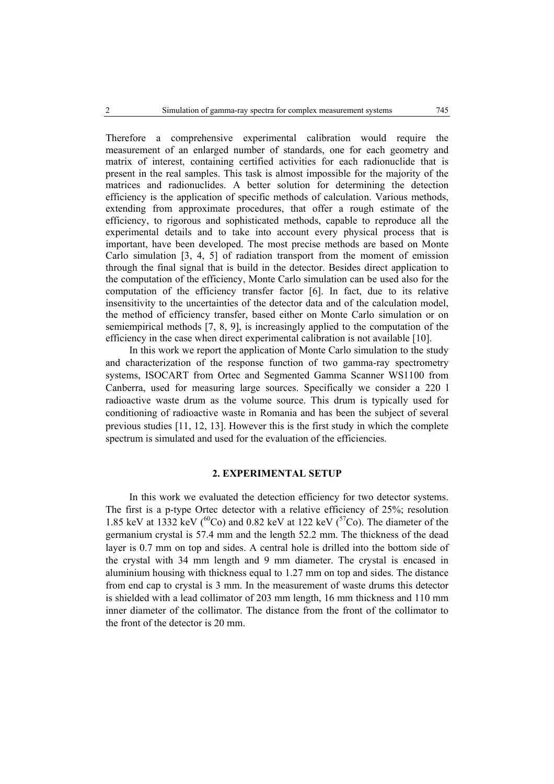Therefore a comprehensive experimental calibration would require the measurement of an enlarged number of standards, one for each geometry and matrix of interest, containing certified activities for each radionuclide that is present in the real samples. This task is almost impossible for the majority of the matrices and radionuclides. A better solution for determining the detection efficiency is the application of specific methods of calculation. Various methods, extending from approximate procedures, that offer a rough estimate of the efficiency, to rigorous and sophisticated methods, capable to reproduce all the experimental details and to take into account every physical process that is important, have been developed. The most precise methods are based on Monte Carlo simulation [3, 4, 5] of radiation transport from the moment of emission through the final signal that is build in the detector. Besides direct application to the computation of the efficiency, Monte Carlo simulation can be used also for the computation of the efficiency transfer factor [6]. In fact, due to its relative insensitivity to the uncertainties of the detector data and of the calculation model, the method of efficiency transfer, based either on Monte Carlo simulation or on semiempirical methods [7, 8, 9], is increasingly applied to the computation of the efficiency in the case when direct experimental calibration is not available [10].

In this work we report the application of Monte Carlo simulation to the study and characterization of the response function of two gamma-ray spectrometry systems, ISOCART from Ortec and Segmented Gamma Scanner WS1100 from Canberra, used for measuring large sources. Specifically we consider a 220 l radioactive waste drum as the volume source. This drum is typically used for conditioning of radioactive waste in Romania and has been the subject of several previous studies [11, 12, 13]. However this is the first study in which the complete spectrum is simulated and used for the evaluation of the efficiencies.

# **2. EXPERIMENTAL SETUP**

In this work we evaluated the detection efficiency for two detector systems. The first is a p-type Ortec detector with a relative efficiency of 25%; resolution 1.85 keV at 1332 keV ( ${}^{60}Co$ ) and 0.82 keV at 122 keV ( ${}^{57}Co$ ). The diameter of the germanium crystal is 57.4 mm and the length 52.2 mm. The thickness of the dead layer is 0.7 mm on top and sides. A central hole is drilled into the bottom side of the crystal with 34 mm length and 9 mm diameter. The crystal is encased in aluminium housing with thickness equal to 1.27 mm on top and sides. The distance from end cap to crystal is 3 mm. In the measurement of waste drums this detector is shielded with a lead collimator of 203 mm length, 16 mm thickness and 110 mm inner diameter of the collimator. The distance from the front of the collimator to the front of the detector is 20 mm.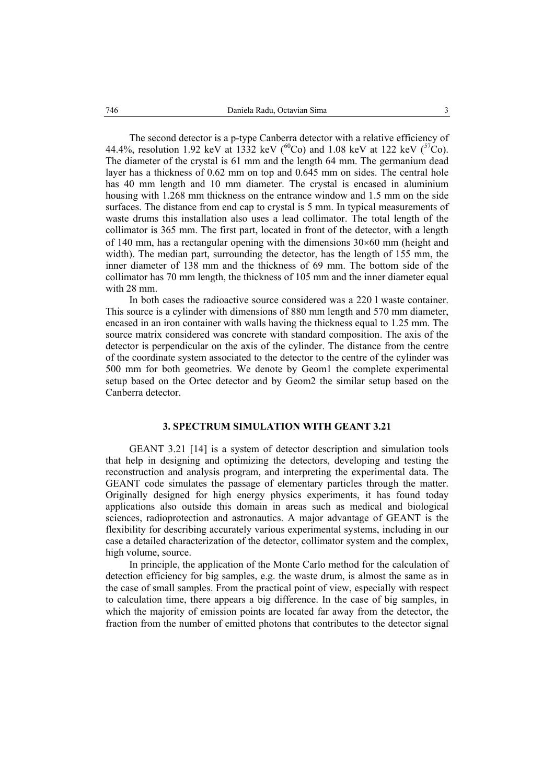The second detector is a p-type Canberra detector with a relative efficiency of 44.4%, resolution 1.92 keV at 1332 keV ( ${}^{60}Co$ ) and 1.08 keV at 122 keV ( ${}^{57}Co$ ). The diameter of the crystal is 61 mm and the length 64 mm. The germanium dead layer has a thickness of 0.62 mm on top and 0.645 mm on sides. The central hole has 40 mm length and 10 mm diameter. The crystal is encased in aluminium housing with 1.268 mm thickness on the entrance window and 1.5 mm on the side surfaces. The distance from end cap to crystal is 5 mm. In typical measurements of waste drums this installation also uses a lead collimator. The total length of the collimator is 365 mm. The first part, located in front of the detector, with a length of 140 mm, has a rectangular opening with the dimensions  $30\times60$  mm (height and width). The median part, surrounding the detector, has the length of 155 mm, the inner diameter of 138 mm and the thickness of 69 mm. The bottom side of the collimator has 70 mm length, the thickness of 105 mm and the inner diameter equal with 28 mm.

In both cases the radioactive source considered was a 220 l waste container. This source is a cylinder with dimensions of 880 mm length and 570 mm diameter, encased in an iron container with walls having the thickness equal to 1.25 mm. The source matrix considered was concrete with standard composition. The axis of the detector is perpendicular on the axis of the cylinder. The distance from the centre of the coordinate system associated to the detector to the centre of the cylinder was 500 mm for both geometries. We denote by Geom1 the complete experimental setup based on the Ortec detector and by Geom2 the similar setup based on the Canberra detector.

## **3. SPECTRUM SIMULATION WITH GEANT 3.21**

GEANT 3.21 [14] is a system of detector description and simulation tools that help in designing and optimizing the detectors, developing and testing the reconstruction and analysis program, and interpreting the experimental data. The GEANT code simulates the passage of elementary particles through the matter. Originally designed for high energy physics experiments, it has found today applications also outside this domain in areas such as medical and biological sciences, radioprotection and astronautics. A major advantage of GEANT is the flexibility for describing accurately various experimental systems, including in our case a detailed characterization of the detector, collimator system and the complex, high volume, source.

In principle, the application of the Monte Carlo method for the calculation of detection efficiency for big samples, e.g. the waste drum, is almost the same as in the case of small samples. From the practical point of view, especially with respect to calculation time, there appears a big difference. In the case of big samples, in which the majority of emission points are located far away from the detector, the fraction from the number of emitted photons that contributes to the detector signal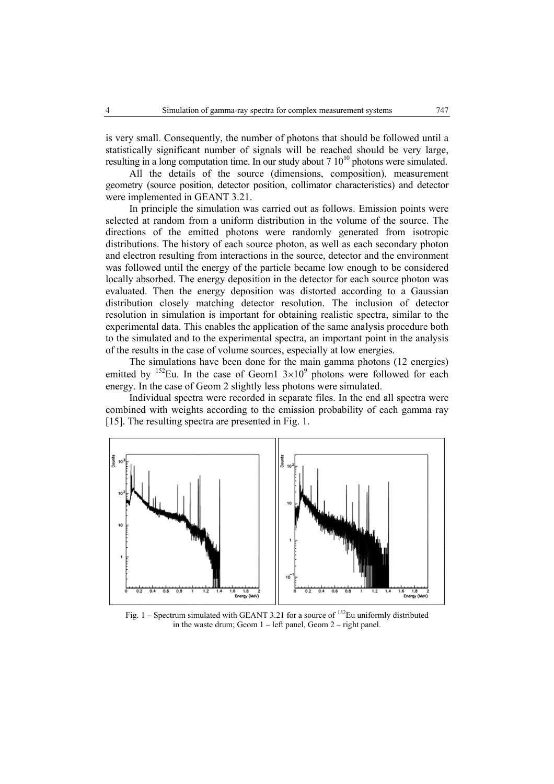is very small. Consequently, the number of photons that should be followed until a statistically significant number of signals will be reached should be very large, resulting in a long computation time. In our study about  $7 \times 10^{10}$  photons were simulated.

All the details of the source (dimensions, composition), measurement geometry (source position, detector position, collimator characteristics) and detector were implemented in GEANT 3.21.

In principle the simulation was carried out as follows. Emission points were selected at random from a uniform distribution in the volume of the source. The directions of the emitted photons were randomly generated from isotropic distributions. The history of each source photon, as well as each secondary photon and electron resulting from interactions in the source, detector and the environment was followed until the energy of the particle became low enough to be considered locally absorbed. The energy deposition in the detector for each source photon was evaluated. Then the energy deposition was distorted according to a Gaussian distribution closely matching detector resolution. The inclusion of detector resolution in simulation is important for obtaining realistic spectra, similar to the experimental data. This enables the application of the same analysis procedure both to the simulated and to the experimental spectra, an important point in the analysis of the results in the case of volume sources, especially at low energies.

The simulations have been done for the main gamma photons (12 energies) emitted by  $^{152}$ Eu. In the case of Geom1  $3\times10^{9}$  photons were followed for each energy. In the case of Geom 2 slightly less photons were simulated.

Individual spectra were recorded in separate files. In the end all spectra were combined with weights according to the emission probability of each gamma ray [15]. The resulting spectra are presented in Fig. 1.



Fig.  $1 -$  Spectrum simulated with GEANT 3.21 for a source of <sup>152</sup>Eu uniformly distributed in the waste drum; Geom 1 – left panel, Geom 2 – right panel.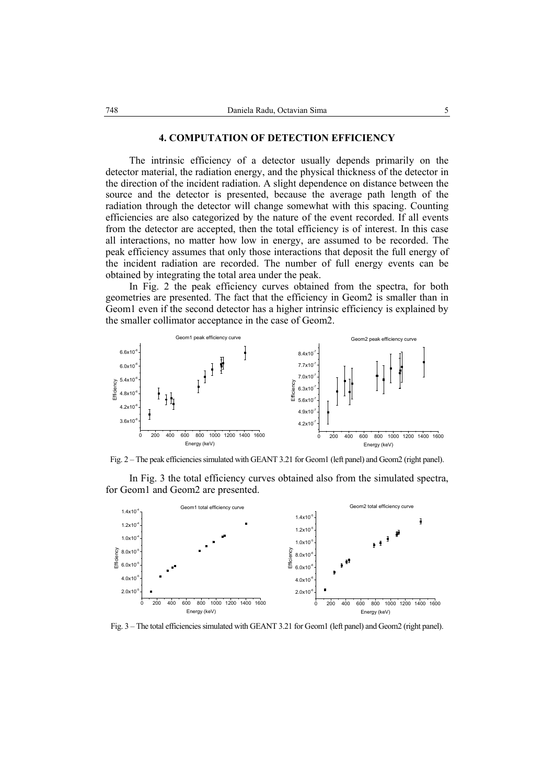#### **4. COMPUTATION OF DETECTION EFFICIENCY**

The intrinsic efficiency of a detector usually depends primarily on the detector material, the radiation energy, and the physical thickness of the detector in the direction of the incident radiation. A slight dependence on distance between the source and the detector is presented, because the average path length of the radiation through the detector will change somewhat with this spacing. Counting efficiencies are also categorized by the nature of the event recorded. If all events from the detector are accepted, then the total efficiency is of interest. In this case all interactions, no matter how low in energy, are assumed to be recorded. The peak efficiency assumes that only those interactions that deposit the full energy of the incident radiation are recorded. The number of full energy events can be obtained by integrating the total area under the peak.

In Fig. 2 the peak efficiency curves obtained from the spectra, for both geometries are presented. The fact that the efficiency in Geom2 is smaller than in Geom1 even if the second detector has a higher intrinsic efficiency is explained by the smaller collimator acceptance in the case of Geom2.



Fig. 2 – The peak efficiencies simulated with GEANT 3.21 for Geom1 (left panel) and Geom2 (right panel).

 In Fig. 3 the total efficiency curves obtained also from the simulated spectra, for Geom1 and Geom2 are presented.



Fig. 3 – The total efficiencies simulated with GEANT 3.21 for Geom1 (left panel) and Geom2 (right panel).